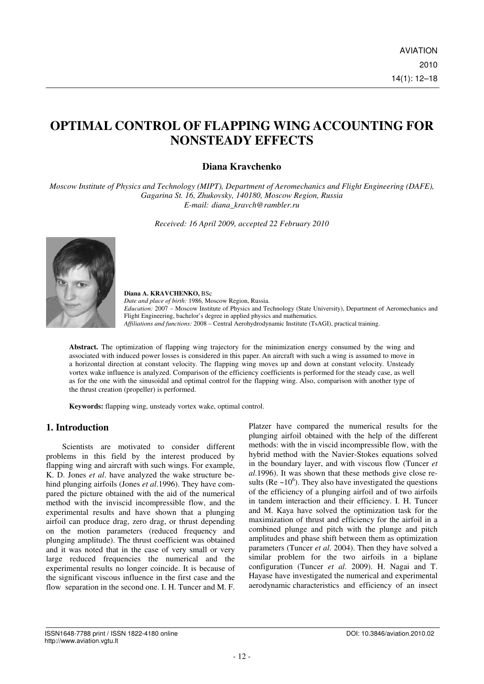# **OPTIMAL CONTROL OF FLAPPING WING ACCOUNTING FOR NONSTEADY EFFECTS**

# **Diana Kravchenko**

*Moscow Institute of Physics and Technology (MIPT), Department of Aeromechanics and Flight Engineering (DAFE), Gagarina St. 16, Zhukovsky, 140180, Moscow Region, Russia E-mail: diana\_kravch@rambler.ru* 

*Received: 16 April 2009, accepted 22 February 2010* 



**Diana A. KRAVCHENKO,** BSc *Date and place of birth:* 1986, Moscow Region, Russia. *Education:* 2007 – Moscow Institute of Physics and Technology (State University), Department of Aeromechanics and Flight Engineering, bachelor's degree in applied physics and mathematics. *Affiliations and functions:* 2008 – Central Aerohydrodynamic Institute (TsAGI), practical training.

**Abstract.** The optimization of flapping wing trajectory for the minimization energy consumed by the wing and associated with induced power losses is considered in this paper. An aircraft with such a wing is assumed to move in a horizontal direction at constant velocity. The flapping wing moves up and down at constant velocity. Unsteady vortex wake influence is analyzed. Comparison of the efficiency coefficients is performed for the steady case, as well as for the one with the sinusoidal and optimal control for the flapping wing. Also, comparison with another type of the thrust creation (propeller) is performed.

**Keywords:** flapping wing, unsteady vortex wake, optimal control.

# **1. Introduction**

Scientists are motivated to consider different problems in this field by the interest produced by flapping wing and aircraft with such wings. For example, K. D. Jones *et al*. have analyzed the wake structure behind plunging airfoils (Jones *et al*.1996). They have compared the picture obtained with the aid of the numerical method with the inviscid incompressible flow, and the experimental results and have shown that a plunging airfoil can produce drag, zero drag, or thrust depending on the motion parameters (reduced frequency and plunging amplitude). The thrust coefficient was obtained and it was noted that in the case of very small or very large reduced frequencies the numerical and the experimental results no longer coincide. It is because of the significant viscous influence in the first case and the flow separation in the second one. I. H. Tuncer and M. F.

Platzer have compared the numerical results for the plunging airfoil obtained with the help of the different methods: with the in viscid incompressible flow, with the hybrid method with the Navier-Stokes equations solved in the boundary layer, and with viscous flow (Tuncer *et al*.1996). It was shown that these methods give close results (Re  $\sim$ 10<sup>6</sup>). They also have investigated the questions of the efficiency of a plunging airfoil and of two airfoils in tandem interaction and their efficiency. I. H. Tuncer and M. Kaya have solved the optimization task for the maximization of thrust and efficiency for the airfoil in a combined plunge and pitch with the plunge and pitch amplitudes and phase shift between them as optimization parameters (Tuncer *et al*. 2004). Then they have solved a similar problem for the two airfoils in a biplane configuration (Tuncer *et al*. 2009). H. Nagai and T. Hayase have investigated the numerical and experimental aerodynamic characteristics and efficiency of an insect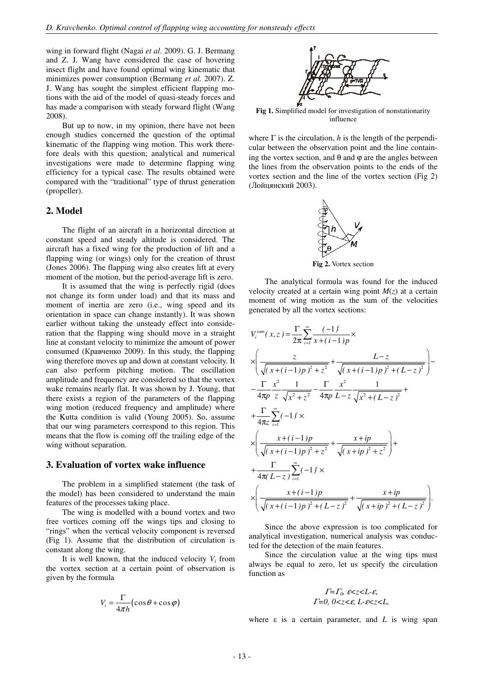wing in forward flight (Nagai *et al*. 2009). G. J. Bermang and Z. J. Wang have considered the case of hovering insect flight and have found optimal wing kinematic that minimizes power consumption (Bermang *et al.* 2007). Z. J. Wang has sought the simplest efficient flapping motions with the aid of the model of quasi-steady forces and has made a comparison with steady forward flight (Wang 2008).

But up to now, in my opinion, there have not been enough studies concerned the question of the optimal kinematic of the flapping wing motion. This work therefore deals with this question; analytical and numerical investigations were made to determine flapping wing efficiency for a typical case. The results obtained were compared with the "traditional" type of thrust generation (propeller).

### **2. Model**

The flight of an aircraft in a horizontal direction at constant speed and steady altitude is considered. The aircraft has a fixed wing for the production of lift and a flapping wing (or wings) only for the creation of thrust (Jones 2006). The flapping wing also creates lift at every moment of the motion, but the period-average lift is zero.

It is assumed that the wing is perfectly rigid (does not change its form under load) and that its mass and moment of inertia are zero (i.e., wing speed and its orientation in space can change instantly). It was shown earlier without taking the unsteady effect into consideration that the flapping wing should move in a straight line at constant velocity to minimize the amount of power consumed (Кравченко 2009). In this study, the flapping wing therefore moves up and down at constant velocity. It can also perform pitching motion. The oscillation amplitude and frequency are considered so that the vortex wake remains nearly flat. It was shown by J. Young, that there exists a region of the parameters of the flapping wing motion (reduced frequency and amplitude) where the Kutta condition is valid (Young 2005). So, assume that our wing parameters correspond to this region. This means that the flow is coming off the trailing edge of the wing without separation.

#### **3. Evaluation of vortex wake influence**

The problem in a simplified statement (the task of the model) has been considered to understand the main features of the processes taking place.

The wing is modelled with a bound vortex and two free vortices coming off the wings tips and closing to "rings" when the vertical velocity component is reversed (Fig 1). Assume that the distribution of circulation is constant along the wing.

It is well known, that the induced velocity  $V_i$  from the vortex section at a certain point of observation is given by the formula

$$
V_i = \frac{\Gamma}{4\pi h} \left( \cos \theta + \cos \varphi \right)
$$



**Fig 1.** Simplified model for investigation of nonstationarity influence

where  $\Gamma$  is the circulation, *h* is the length of the perpendicular between the observation point and the line containing the vortex section, and  $θ$  and  $φ$  are the angles between the lines from the observation points to the ends of the vortex section and the line of the vortex section (Fig 2) (Лойцянский 2003).



**Fig 2.** Vortex section

The analytical formula was found for the induced velocity created at a certain wing point  $M(z)$  at a certain moment of wing motion as the sum of the velocities generated by all the vortex sections:

$$
V_i^{sum}(x, z) = \frac{\Gamma}{2\pi} \sum_{i=1}^{\infty} \frac{(-1)^i}{x + (i-1)p} \times
$$
  
\n
$$
\times \left( \frac{z}{\sqrt{(x + (i-1)p)^2 + z^2}} + \frac{L-z}{\sqrt{(x + (i-1)p)^2 + (L-z)^2}} \right) -
$$
  
\n
$$
- \frac{\Gamma}{4\pi p} \frac{x^2}{z} \frac{1}{\sqrt{x^2 + z^2}} - \frac{\Gamma}{4\pi p} \frac{x^2}{L-z} \frac{1}{\sqrt{x^2 + (L-z)^2}} +
$$
  
\n
$$
+ \frac{\Gamma}{4\pi z} \sum_{i=1}^{\infty} (-1)^i \times
$$
  
\n
$$
\times \left( \frac{x + (i-1)p}{\sqrt{(x + (i-1)p)^2 + z^2}} + \frac{x + ip}{\sqrt{(x + ip)^2 + z^2}} \right) +
$$
  
\n
$$
+ \frac{\Gamma}{4\pi (L-z)} \sum_{i=1}^{\infty} (-1)^i \times
$$
  
\n
$$
\times \left( \frac{x + (i-1)p}{\sqrt{(x + (i-1)p)^2 + (L-z)^2}} + \frac{x + ip}{\sqrt{(x + ip)^2 + (L-z)^2}} \right).
$$

Since the above expression is too complicated for analytical investigation, numerical analysis was conducted for the detection of the main features.

Since the circulation value at the wing tips must always be equal to zero, let us specify the circulation function as

$$
\Gamma = \Gamma_0, \ \varepsilon < z < L - \varepsilon, \\
\Gamma = 0, \ 0 < z < \varepsilon, \ L - \varepsilon < z < L,
$$

where  $\varepsilon$  is a certain parameter, and  $L$  is wing span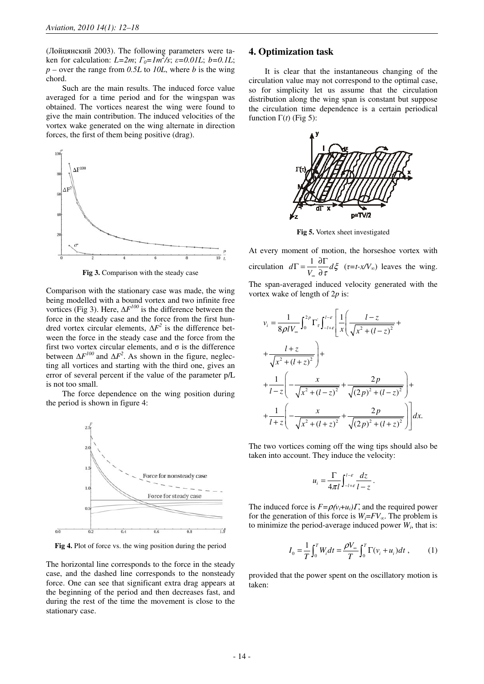(Лойцянский 2003). The following parameters were taken for calculation:  $L=2m$ ;  $\Gamma_0=Im^2/s$ ;  $\varepsilon=0.01L$ ;  $b=0.1L$ ; *p –* over the range from *0.5L* to *10L*, where *b* is the wing chord.

Such are the main results. The induced force value averaged for a time period and for the wingspan was obtained. The vortices nearest the wing were found to give the main contribution. The induced velocities of the vortex wake generated on the wing alternate in direction forces, the first of them being positive (drag).



**Fig 3.** Comparison with the steady case

Comparison with the stationary case was made, the wing being modelled with a bound vortex and two infinite free vortices (Fig 3). Here,  $\Delta F^{100}$  is the difference between the force in the steady case and the force from the first hundred vortex circular elements, ∆*F 2* is the difference between the force in the steady case and the force from the first two vortex circular elements, and  $\sigma$  is the difference between  $\Delta F^{100}$  and  $\Delta F^2$ . As shown in the figure, neglecting all vortices and starting with the third one, gives an error of several percent if the value of the parameter p/L is not too small.

The force dependence on the wing position during the period is shown in figure 4:



**Fig 4.** Plot of force vs. the wing position during the period

The horizontal line corresponds to the force in the steady case, and the dashed line corresponds to the nonsteady force. One can see that significant extra drag appears at the beginning of the period and then decreases fast, and during the rest of the time the movement is close to the stationary case.

#### **4. Optimization task**

It is clear that the instantaneous changing of the circulation value may not correspond to the optimal case, so for simplicity let us assume that the circulation distribution along the wing span is constant but suppose the circulation time dependence is a certain periodical function  $\Gamma(t)$  (Fig 5):



**Fig 5.** Vortex sheet investigated

At every moment of motion, the horseshoe vortex with circulation  $d\Gamma = \frac{1}{V_{\infty}} \frac{\partial \Gamma}{\partial \tau} d\xi$  $\sigma$   $\sigma$  $\Gamma = \frac{1}{V_{\infty}} \frac{\partial \Gamma}{\partial \tau} d\zeta$  (*τ*=*t-x/V*<sub>∞</sub>) leaves the wing. The span-averaged induced velocity generated with the vortex wake of length of 2*p* is:

$$
v_{i} = \frac{1}{8\rho l V_{\infty}} \int_{0}^{2p} \Gamma_{\tau} \int_{-l+\varepsilon}^{l-\varepsilon} \left[ \frac{1}{x} \left( \frac{l-z}{\sqrt{x^{2} + (l-z)^{2}}} + \frac{l+z}{\sqrt{x^{2} + (l+z)^{2}}} \right) + \frac{1}{l-z} \left( -\frac{x}{\sqrt{x^{2} + (l-z)^{2}}} + \frac{2p}{\sqrt{(2p)^{2} + (l-z)^{2}}} \right) + \frac{1}{l+z} \left( -\frac{x}{\sqrt{x^{2} + (l+z)^{2}}} + \frac{2p}{\sqrt{(2p)^{2} + (l+z)^{2}}} \right) \right] dx.
$$

The two vortices coming off the wing tips should also be taken into account. They induce the velocity:

$$
u_i = \frac{\Gamma}{4\pi l} \int_{-l+\varepsilon}^{l-\varepsilon} \frac{dz}{l-z} \, .
$$

The induced force is  $F = \rho(v_i + u_i)T$ , and the required power for the generation of this force is  $W_i = FV_\infty$ . The problem is to minimize the period-average induced power  $W_i$ , that is:

$$
I_0 = \frac{1}{T} \int_0^T W_i dt = \frac{\rho V_{\infty}}{T} \int_0^T \Gamma(v_i + u_i) dt , \qquad (1)
$$

provided that the power spent on the oscillatory motion is taken: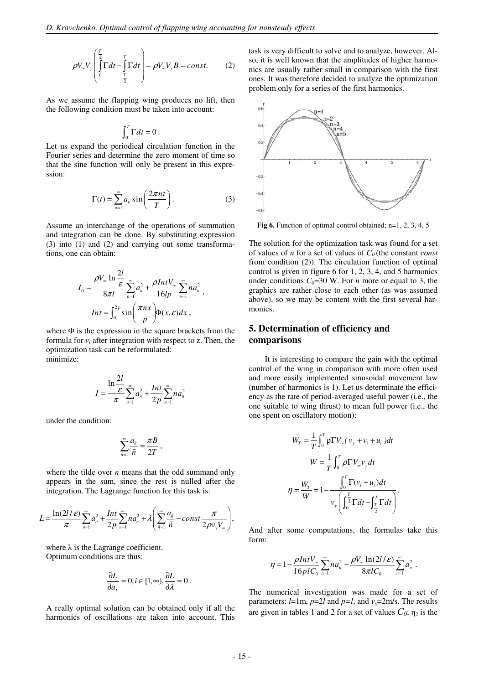$$
\rho V_{\infty} V_{y} \left( \int_{0}^{\frac{T}{2}} \Gamma dt - \int_{\frac{T}{2}}^{T} \Gamma dt \right) = \rho V_{\infty} V_{y} B = const.
$$
 (2)

As we assume the flapping wing produces no lift, then the following condition must be taken into account:

$$
\int_0^T \Gamma dt = 0.
$$

Let us expand the periodical circulation function in the Fourier series and determine the zero moment of time so that the sine function will only be present in this expression:

$$
\Gamma(t) = \sum_{n=1}^{\infty} a_n \sin\left(\frac{2\pi nt}{T}\right).
$$
 (3)

Assume an interchange of the operations of summation and integration can be done. By substituting expression (3) into (1) and (2) and carrying out some transformations, one can obtain:

$$
I_0 = \frac{\rho V_\infty \ln \frac{2l}{\varepsilon}}{8\pi l} \sum_{n=1}^\infty a_n^2 + \frac{\rho Int V_\infty}{16lp} \sum_{n=1}^\infty n a_n^2,
$$
  

$$
Int = \int_0^{2p} \sin\left(\frac{\pi nx}{p}\right) \Phi(x, \varepsilon) dx,
$$

where  $\Phi$  is the expression in the square brackets from the formula for  $v_i$  after integration with respect to z. Then, the optimization task can be reformulated: minimize:

$$
I = \frac{\ln \frac{2l}{\varepsilon}}{\pi} \sum_{n=1}^{\infty} a_n^2 + \frac{Int}{2p} \sum_{n=1}^{\infty} n a_n^2
$$

under the condition:

$$
\sum_{\tilde{n}=1}^{\infty} \frac{a_{\tilde{n}}}{\tilde{n}} = \frac{\pi B}{2T} ,
$$

where the tilde over *n* means that the odd summand only appears in the sum, since the rest is nulled after the integration. The Lagrange function for this task is:

$$
L = \frac{\ln(2l/\varepsilon)}{\pi} \sum_{n=1}^{\infty} a_n^2 + \frac{Int}{2p} \sum_{n=1}^{\infty} n a_n^2 + \lambda \left( \sum_{n=1}^{\infty} \frac{a_n}{\tilde{n}} - const \frac{\pi}{2\rho v_y V_\infty} \right),
$$

where  $\lambda$  is the Lagrange coefficient. Optimum conditions are thus:

$$
\frac{\partial L}{\partial a_i} = 0, i \in [1, \infty), \frac{\partial L}{\partial \lambda} = 0.
$$

A really optimal solution can be obtained only if all the harmonics of oscillations are taken into account. This task is very difficult to solve and to analyze, however. Also, it is well known that the amplitudes of higher harmonics are usually rather small in comparison with the first ones. It was therefore decided to analyze the optimization problem only for a series of the first harmonics.



**Fig 6.** Function of optimal control obtained; n=1, 2, 3, 4, 5

The solution for the optimization task was found for a set of values of *n* for a set of values of С*0* (the constant *const* from condition (2)). The circulation function of optimal control is given in figure 6 for 1, 2, 3, 4, and 5 harmonics under conditions  $C_0=30$  W. For *n* more or equal to 3, the graphics are rather close to each other (as was assumed above), so we may be content with the first several harmonics.

## **5. Determination of efficiency and comparisons**

It is interesting to compare the gain with the optimal control of the wing in comparison with more often used and more easily implemented sinusoidal movement law (number of harmonics is 1). Let us determinate the efficiency as the rate of period-averaged useful power (i.e., the one suitable to wing thrust) to mean full power (i.e., the one spent on oscillatory motion):

$$
W_T = \frac{1}{T} \int_0^T \rho \Gamma V_{\infty} (v_y + v_i + u_i) dt
$$
  

$$
W = \frac{1}{T} \int_0^T \rho \Gamma V_{\infty} v_y dt
$$
  

$$
\eta = \frac{W_T}{W} = 1 - \frac{\int_0^T \Gamma(v_i + u_i) dt}{v_y \left(\int_0^T \Gamma dt - \int_{\frac{T}{2}}^T \Gamma dt\right)}.
$$

And after some computations, the formulas take this form:

$$
\eta = 1 - \frac{\rho Int V_{\infty}}{16 \rho I C_0} \sum_{n=1}^{\infty} n a_n^2 - \frac{\rho V_{\infty} \ln(2l/\varepsilon)}{8 \pi l C_0} \sum_{n=1}^{\infty} a_n^2.
$$

The numerical investigation was made for a set of parameters:  $l=1m$ ,  $p=2l$  and  $p=l$ , and  $v_y=2m/s$ . The results are given in tables 1 and 2 for a set of values  $C_0$ ;  $\eta_2$  is the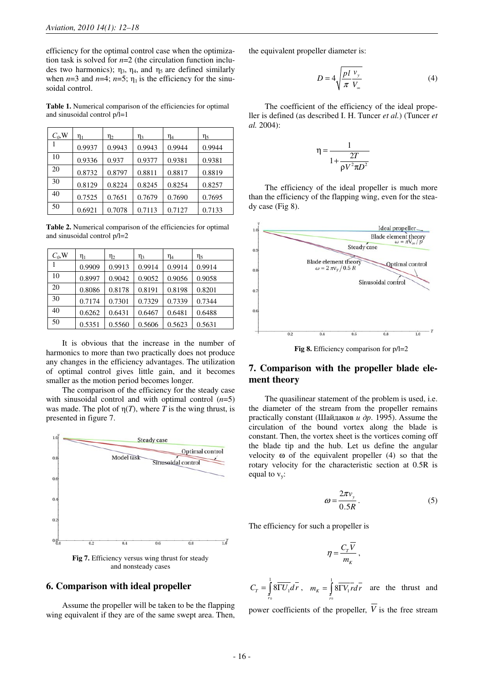efficiency for the optimal control case when the optimization task is solved for *n*=2 (the circulation function includes two harmonics);  $\eta_3$ ,  $\eta_4$ , and  $\eta_5$  are defined similarly when  $n=3$  and  $n=4$ ;  $n=5$ ;  $\eta_1$  is the efficiency for the sinusoidal control.

**Table 1.** Numerical comparison of the efficiencies for optimal and sinusoidal control  $p/l=1$ 

| $C_0$ , W | $\eta_1$ | $\eta_2$ | $\eta_3$ | $\eta_4$ | $\eta_5$ |
|-----------|----------|----------|----------|----------|----------|
|           | 0.9937   | 0.9943   | 0.9943   | 0.9944   | 0.9944   |
| 10        | 0.9336   | 0.937    | 0.9377   | 0.9381   | 0.9381   |
| 20        | 0.8732   | 0.8797   | 0.8811   | 0.8817   | 0.8819   |
| 30        | 0.8129   | 0.8224   | 0.8245   | 0.8254   | 0.8257   |
| 40        | 0.7525   | 0.7651   | 0.7679   | 0.7690   | 0.7695   |
| 50        | 0.6921   | 0.7078   | 0.7113   | 0.7127   | 0.7133   |

**Table 2.** Numerical comparison of the efficiencies for optimal and sinusoidal control p/l=2

| $C_0$ , W | $\eta_1$ | $\eta_2$ | $\eta_3$ | $\eta_4$ | $\eta_5$ |
|-----------|----------|----------|----------|----------|----------|
|           | 0.9909   | 0.9913   | 0.9914   | 0.9914   | 0.9914   |
| 10        | 0.8997   | 0.9042   | 0.9052   | 0.9056   | 0.9058   |
| 20        | 0.8086   | 0.8178   | 0.8191   | 0.8198   | 0.8201   |
| 30        | 0.7174   | 0.7301   | 0.7329   | 0.7339   | 0.7344   |
| 40        | 0.6262   | 0.6431   | 0.6467   | 0.6481   | 0.6488   |
| 50        | 0.5351   | 0.5560   | 0.5606   | 0.5623   | 0.5631   |

It is obvious that the increase in the number of harmonics to more than two practically does not produce any changes in the efficiency advantages. The utilization of optimal control gives little gain, and it becomes smaller as the motion period becomes longer.

The comparison of the efficiency for the steady case with sinusoidal control and with optimal control (*n*=5) was made. The plot of  $\eta(T)$ , where *T* is the wing thrust, is presented in figure 7.



and nonsteady cases

### **6. Comparison with ideal propeller**

Assume the propeller will be taken to be the flapping wing equivalent if they are of the same swept area. Then,

the equivalent propeller diameter is:

$$
D = 4\sqrt{\frac{pl}{\pi} \frac{v_y}{V_{\infty}}} \tag{4}
$$

The coefficient of the efficiency of the ideal propeller is defined (as described I. H. Tuncer *et al.*) (Tuncer *et al.* 2004):

$$
\eta = \frac{1}{1 + \frac{2T}{\rho V^2 \pi D^2}}
$$

The efficiency of the ideal propeller is much more than the efficiency of the flapping wing, even for the steady case (Fig 8).



**Fig 8.** Efficiency comparison for  $p/1=2$ 

## **7. Comparison with the propeller blade element theory**

The quasilinear statement of the problem is used, i.e. the diameter of the stream from the propeller remains practically constant (Шайдаков  $u$  др. 1995). Assume the circulation of the bound vortex along the blade is constant. Then, the vortex sheet is the vortices coming off the blade tip and the hub. Let us define the angular velocity ω of the equivalent propeller (4) so that the rotary velocity for the characteristic section at 0.5R is equal to  $v_y$ :

$$
\omega = \frac{2\pi v_y}{0.5R} \,. \tag{5}
$$

The efficiency for such a propeller is

$$
\eta = \frac{C_{T}\overline{V}}{m_{K}}\,,
$$

0 1  $C_T = \int_0^1 8 \overline{\Gamma U_1} d\overline{r}$ ,  $m_K = \int_0^1$ *r* 0  $m_K = \int 8\overline{V_1 r} dr$  are the thrust and *r*

power coefficients of the propeller,  $\overline{V}$  is the free stream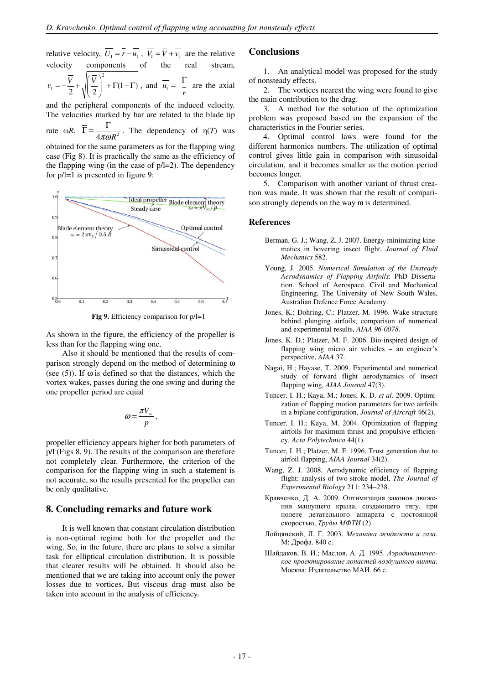relative velocity,  $\overline{U_1} = \overline{r} - \overline{u_1}$ ,  $\overline{V_1} = \overline{V} + \overline{v_1}$  are the relative velocity components of the real stream, 2 1  $=-\frac{1}{2}+\sqrt{\left(\frac{1}{2}\right)^2+\Gamma(1-\Gamma)}$ , and  $u_1$ 2 W 2  $V \parallel V$ *v*  $(\bar{V})^2$ *r*  $=$   $\Gamma$  are the axial

and the peripheral components of the induced velocity. The velocities marked by bar are related to the blade tip rate  $\omega R$ ,  $\Gamma = \frac{1}{4\pi\omega R^2}$  $\overline{\Gamma} = \frac{\Gamma}{\sqrt{N^2}}$ . The dependency of  $\eta(T)$  was

obtained for the same parameters as for the flapping wing case (Fig 8). It is practically the same as the efficiency of the flapping wing (in the case of  $p/1=2$ ). The dependency for p/l=1 is presented in figure 9:



**Fig 9.** Efficiency comparison for  $p/1=1$ 

As shown in the figure, the efficiency of the propeller is less than for the flapping wing one.

Also it should be mentioned that the results of comparison strongly depend on the method of determining ω (see  $(5)$ ). If  $\omega$  is defined so that the distances, which the vortex wakes, passes during the one swing and during the one propeller period are equal

$$
\omega = \frac{\pi V_{\infty}}{p} \,,
$$

propeller efficiency appears higher for both parameters of p/l (Figs 8, 9). The results of the comparison are therefore not completely clear. Furthermore, the criterion of the comparison for the flapping wing in such a statement is not accurate, so the results presented for the propeller can be only qualitative.

#### **8. Concluding remarks and future work**

It is well known that constant circulation distribution is non-optimal regime both for the propeller and the wing. So, in the future, there are plans to solve a similar task for elliptical circulation distribution. It is possible that clearer results will be obtained. It should also be mentioned that we are taking into account only the power losses due to vortices. But viscous drag must also be taken into account in the analysis of efficiency.

#### **Conclusions**

1. An analytical model was proposed for the study of nonsteady effects.

2. The vortices nearest the wing were found to give the main contribution to the drag.

3. A method for the solution of the optimization problem was proposed based on the expansion of the characteristics in the Fourier series.

4. Optimal control laws were found for the different harmonics numbers. The utilization of optimal control gives little gain in comparison with sinusoidal circulation, and it becomes smaller as the motion period becomes longer.

5. Comparison with another variant of thrust creation was made. It was shown that the result of comparison strongly depends on the way  $\omega$  is determined.

#### **References**

- Berman, G. J.; Wang, Z. J. 2007. Energy-minimizing kinematics in hovering insect flight, *Journal of Fluid Mechanics* 582.
- Young, J. 2005. *Numerical Simulation of the Unsteady Aerodynamics of Flapping Airfoils*: PhD Dissertation. School of Aerospace, Civil and Mechanical Engineering, The University of New South Wales, Australian Defence Force Academy.
- Jones, K.; Dohring, C.; Platzer, M. 1996. Wake structure behind plunging airfoils; comparison of numerical and experimental results, *AIAA 96-0078*.
- Jones, K. D.; Platzer, M. F. 2006. Bio-inspired design of flapping wing micro air vehicles – an engineer's perspective, *AIAA* 37.
- Nagai, H.; Hayase, T. 2009. Experimental and numerical study of forward flight aerodynamics of insect flapping wing, *AIAA Journal* 47(3).
- Tuncer, I. H.; Kaya, M.; Jones, K. D. *et al.* 2009. Optimization of flapping motion parameters for two airfoils in a biplane configuration, *Journal of Aircraft* 46(2).
- Tuncer, I. H.; Kaya, M. 2004. Optimization of flapping airfoils for maximum thrust and propulsive efficiency, *Acta Polytechnica* 44(1).
- Tuncer, I. H.; Platzer, M. F. 1996. Trust generation due to airfoil flapping, *AIAA Journal* 34(2).
- Wang, Z. J. 2008. Aerodynamic efficiency of flapping flight: analysis of two-stroke model, *The Journal of Experimental Biology* 211: 234–238.
- Кравченко, Д. А. 2009. Оптимизация законов движения машущего крыла, создающего тягу, при полете летательного аппарата с постоянной скоростью, Труды МФТИ (2).
- Лойцянский, Л. Г. 2003. Механика жидкости и газа*.*  М: Дрофа. 840 c.
- Шайдаков, В. И.; Маслов, А. Д. 1995. Аэродинамическое проектирование лопастей воздушного винта. Москва: Издательство МАИ. 66 c.